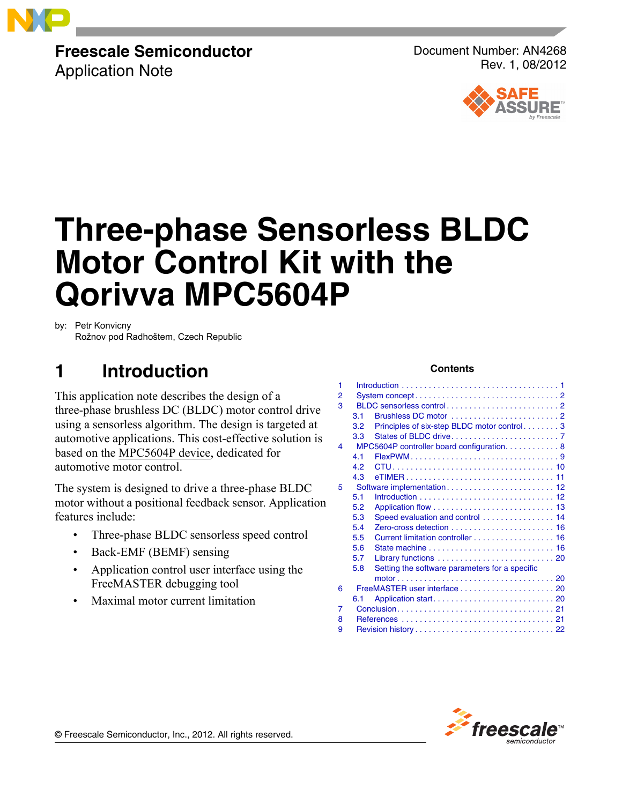

## **Freescale Semiconductor**

Application Note

Document Number: AN4268 Rev. 1, 08/2012



# **Three-phase Sensorless BLDC Motor Control Kit with the Qorivva MPC5604P**

by: Petr Konvicny

Rožnov pod Radhoštem, Czech Republic

## **1 Introduction**

This application note describes the design of a three-phase brushless DC (BLDC) motor control drive using a sensorless algorithm. The design is targeted at automotive applications. This cost-effective solution is based on the [MPC5604P device](https://www.nxp.com/products/processors-and-microcontrollers/power-architecture/mpc5xxx-microcontrollers/ultra-reliable-mpc56xx-mcus/ultra-reliable-mpc560xp-mcu-for-automotive-industrial-safety-applications:MPC560xP?utm_medium=AN-2021), dedicated for automotive motor control.

The system is designed to drive a three-phase BLDC motor without a positional feedback sensor. Application features include:

- Three-phase BLDC sensorless speed control
- Back-EMF (BEMF) sensing
- Application control user interface using the FreeMASTER debugging tool
- Maximal motor current limitation

#### **Contents**

| 1 |     |                                                |  |  |  |  |  |  |
|---|-----|------------------------------------------------|--|--|--|--|--|--|
| 2 |     |                                                |  |  |  |  |  |  |
| 3 |     |                                                |  |  |  |  |  |  |
|   | 3.1 |                                                |  |  |  |  |  |  |
|   | 3.2 | Principles of six-step BLDC motor control 3    |  |  |  |  |  |  |
|   | 3.3 |                                                |  |  |  |  |  |  |
| 4 |     | MPC5604P controller board configuration. 8     |  |  |  |  |  |  |
|   | 4.1 |                                                |  |  |  |  |  |  |
|   | 4.2 |                                                |  |  |  |  |  |  |
|   | 4.3 |                                                |  |  |  |  |  |  |
| 5 |     |                                                |  |  |  |  |  |  |
|   | 5.1 |                                                |  |  |  |  |  |  |
|   | 5.2 |                                                |  |  |  |  |  |  |
|   | 5.3 | Speed evaluation and control  14               |  |  |  |  |  |  |
|   | 5.4 |                                                |  |  |  |  |  |  |
|   | 5.5 | Current limitation controller 16               |  |  |  |  |  |  |
|   | 5.6 |                                                |  |  |  |  |  |  |
|   | 5.7 |                                                |  |  |  |  |  |  |
|   | 5.8 | Setting the software parameters for a specific |  |  |  |  |  |  |
|   |     |                                                |  |  |  |  |  |  |
| 6 |     | FreeMASTER user interface  20                  |  |  |  |  |  |  |
|   | 6.1 |                                                |  |  |  |  |  |  |
| 7 |     |                                                |  |  |  |  |  |  |
| 8 |     |                                                |  |  |  |  |  |  |
| 9 |     |                                                |  |  |  |  |  |  |



© Freescale Semiconductor, Inc., 2012. All rights reserved.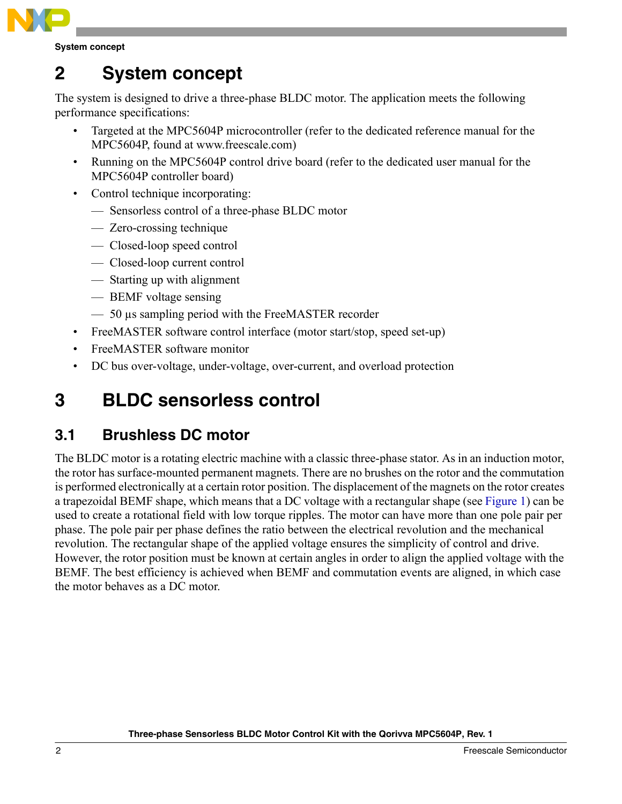

**System concept**

## <span id="page-1-0"></span>**2 System concept**

The system is designed to drive a three-phase BLDC motor. The application meets the following performance specifications:

- Targeted at the MPC5604P microcontroller (refer to the dedicated reference manual for the MPC5604P, found at www.freescale.com)
- Running on the MPC5604P control drive board (refer to the dedicated user manual for the MPC5604P controller board)
- Control technique incorporating:
	- Sensorless control of a three-phase BLDC motor
	- Zero-crossing technique
	- Closed-loop speed control
	- Closed-loop current control
	- Starting up with alignment
	- BEMF voltage sensing
	- 50 µs sampling period with the FreeMASTER recorder
- FreeMASTER software control interface (motor start/stop, speed set-up)
- FreeMASTER software monitor
- DC bus over-voltage, under-voltage, over-current, and overload protection

## <span id="page-1-1"></span>**3 BLDC sensorless control**

### <span id="page-1-2"></span>**3.1 Brushless DC motor**

The BLDC motor is a rotating electric machine with a classic three-phase stator. As in an induction motor, the rotor has surface-mounted permanent magnets. There are no brushes on the rotor and the commutation is performed electronically at a certain rotor position. The displacement of the magnets on the rotor creates a trapezoidal BEMF shape, which means that a DC voltage with a rectangular shape (see [Figure 1](#page-2-1)) can be used to create a rotational field with low torque ripples. The motor can have more than one pole pair per phase. The pole pair per phase defines the ratio between the electrical revolution and the mechanical revolution. The rectangular shape of the applied voltage ensures the simplicity of control and drive. However, the rotor position must be known at certain angles in order to align the applied voltage with the BEMF. The best efficiency is achieved when BEMF and commutation events are aligned, in which case the motor behaves as a DC motor.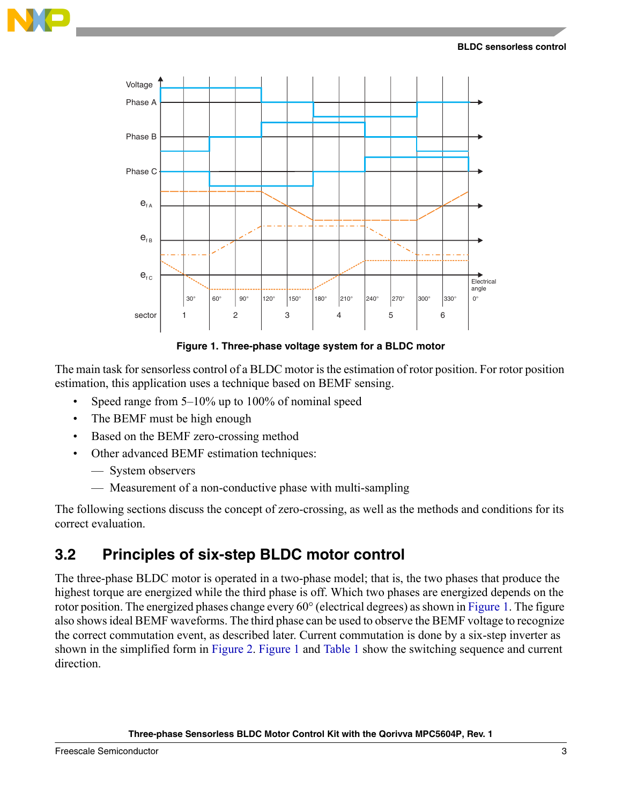



**Figure 1. Three-phase voltage system for a BLDC motor**

<span id="page-2-1"></span>The main task for sensorless control of a BLDC motor is the estimation of rotor position. For rotor position estimation, this application uses a technique based on BEMF sensing.

- Speed range from 5–10% up to 100% of nominal speed
- The BEMF must be high enough
- Based on the BEMF zero-crossing method
- Other advanced BEMF estimation techniques:
	- System observers
	- Measurement of a non-conductive phase with multi-sampling

The following sections discuss the concept of zero-crossing, as well as the methods and conditions for its correct evaluation.

### <span id="page-2-0"></span>**3.2 Principles of six-step BLDC motor control**

The three-phase BLDC motor is operated in a two-phase model; that is, the two phases that produce the highest torque are energized while the third phase is off. Which two phases are energized depends on the rotor position. The energized phases change every 60° (electrical degrees) as shown in [Figure 1](#page-2-1). The figure also shows ideal BEMF waveforms. The third phase can be used to observe the BEMF voltage to recognize the correct commutation event, as described later. Current commutation is done by a six-step inverter as shown in the simplified form in [Figure 2.](#page-3-0) [Figure 1](#page-2-1) and [Table 1](#page-3-1) show the switching sequence and current direction.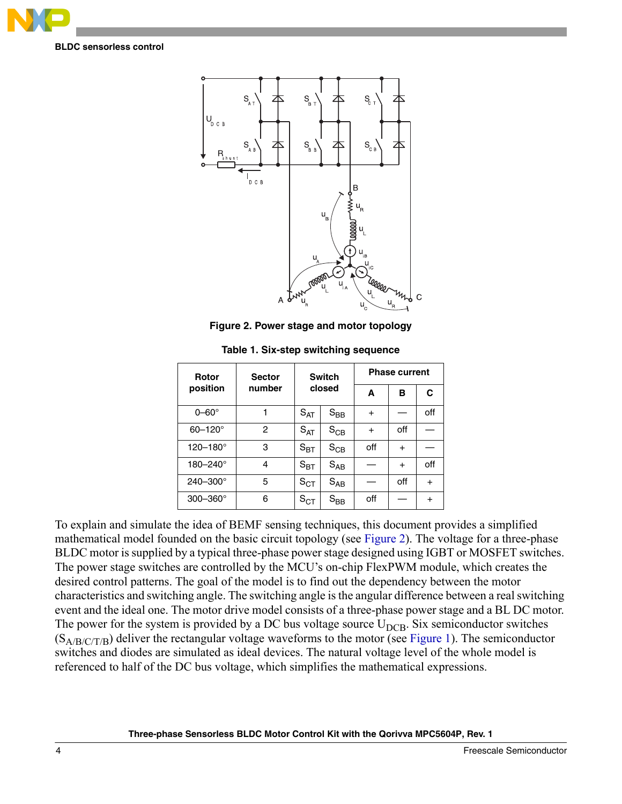

**BLDC sensorless control**



**Figure 2. Power stage and motor topology**

<span id="page-3-1"></span><span id="page-3-0"></span>

| Rotor               | <b>Sector</b> |                   | <b>Switch</b>     | <b>Phase current</b> |           |           |  |  |  |
|---------------------|---------------|-------------------|-------------------|----------------------|-----------|-----------|--|--|--|
| position            | number        | closed            |                   | A                    | в         | C         |  |  |  |
| $0 - 60^\circ$      |               | $S_{\sf AT}$      | $S_{BB}$          | $\ddot{}$            |           | off       |  |  |  |
| $60 - 120^{\circ}$  | 2             | $S_{AT}$          | $S_{CB}$          | $+$                  | off       |           |  |  |  |
| 120-180°            | 3             | $S_{\text{BT}}$   | $S_{CB}$          | off                  | $\ddot{}$ |           |  |  |  |
| 180-240°            | 4             | $S_{\mathsf{BT}}$ | $S_{AB}$          |                      | $+$       | off       |  |  |  |
| $240 - 300^{\circ}$ | 5             | $S_{CT}$          | $S_{AB}$          |                      | off       | $+$       |  |  |  |
| $300 - 360^\circ$   | 6             | $S_{CT}$          | $\rm{S}_{\rm BB}$ | off                  |           | $\ddot{}$ |  |  |  |

**Table 1. Six-step switching sequence**

To explain and simulate the idea of BEMF sensing techniques, this document provides a simplified mathematical model founded on the basic circuit topology (see [Figure 2](#page-3-0)). The voltage for a three-phase BLDC motor is supplied by a typical three-phase power stage designed using IGBT or MOSFET switches. The power stage switches are controlled by the MCU's on-chip FlexPWM module, which creates the desired control patterns. The goal of the model is to find out the dependency between the motor characteristics and switching angle. The switching angle is the angular difference between a real switching event and the ideal one. The motor drive model consists of a three-phase power stage and a BL DC motor. The power for the system is provided by a DC bus voltage source  $U_{DCB}$ . Six semiconductor switches  $(S_{A/B/C/T/B})$  deliver the rectangular voltage waveforms to the motor (see [Figure 1](#page-2-1)). The semiconductor switches and diodes are simulated as ideal devices. The natural voltage level of the whole model is referenced to half of the DC bus voltage, which simplifies the mathematical expressions.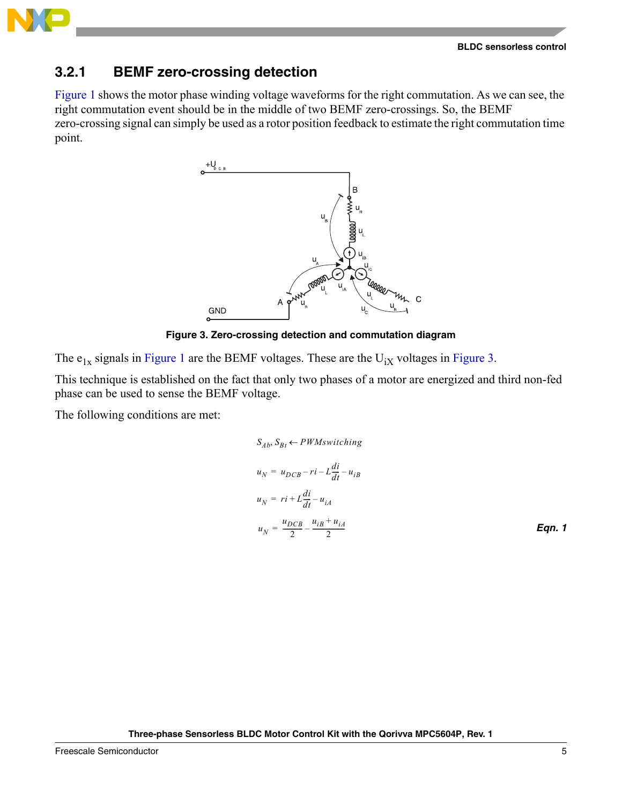**BLDC sensorless control**



### **3.2.1 BEMF zero-crossing detection**

[Figure 1](#page-2-1) shows the motor phase winding voltage waveforms for the right commutation. As we can see, the right commutation event should be in the middle of two BEMF zero-crossings. So, the BEMF zero-crossing signal can simply be used as a rotor position feedback to estimate the right commutation time point.



**Figure 3. Zero-crossing detection and commutation diagram**

<span id="page-4-0"></span>The  $e_{1x}$  signals in [Figure 1](#page-2-1) are the BEMF voltages. These are the  $U_{iX}$  voltages in [Figure 3](#page-4-0).

This technique is established on the fact that only two phases of a motor are energized and third non-fed phase can be used to sense the BEMF voltage.

The following conditions are met:

$$
S_{Ab}, S_{Bt} \leftarrow PWM switching
$$
  
\n
$$
u_N = u_{DCB} - ri - L\frac{di}{dt} - u_{iB}
$$
  
\n
$$
u_N = ri + L\frac{di}{dt} - u_{iA}
$$
  
\n
$$
u_N = \frac{u_{DCB}}{2} - \frac{u_{iB} + u_{iA}}{2}
$$
  
\nEqn. 1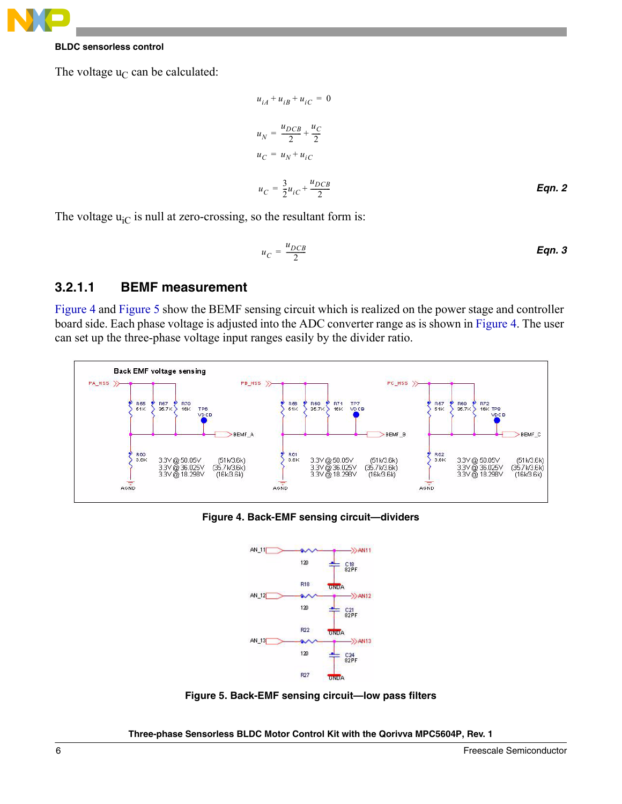

#### **BLDC sensorless control**

The voltage  $u_C$  can be calculated:

$$
u_{iA} + u_{iB} + u_{iC} = 0
$$
  
\n
$$
u_N = \frac{u_{DCB}}{2} + \frac{u_C}{2}
$$
  
\n
$$
u_C = u_N + u_{iC}
$$
  
\n
$$
u_C = \frac{3}{2}u_{iC} + \frac{u_{DCB}}{2}
$$
  
\nEqn. 2

The voltage  $u_{iC}$  is null at zero-crossing, so the resultant form is:

$$
u_C = \frac{u_{DCB}}{2}
$$
 Eqn. 3

#### **3.2.1.1 BEMF measurement**

[Figure 4](#page-5-0) and [Figure 5](#page-5-1) show the BEMF sensing circuit which is realized on the power stage and controller board side. Each phase voltage is adjusted into the ADC converter range as is shown in [Figure 4.](#page-5-0) The user can set up the three-phase voltage input ranges easily by the divider ratio.



<span id="page-5-0"></span>**Figure 4. Back-EMF sensing circuit—dividers**



<span id="page-5-1"></span>**Figure 5. Back-EMF sensing circuit—low pass filters**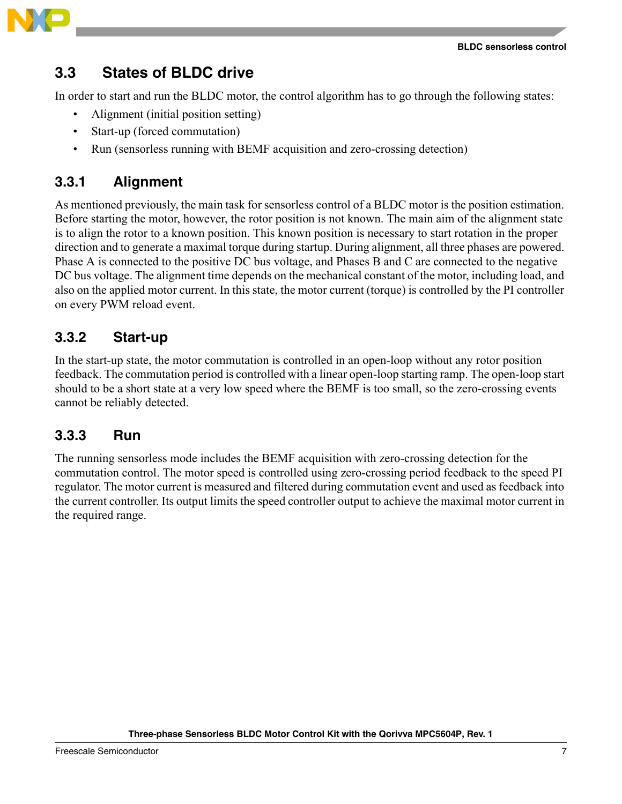

### <span id="page-6-0"></span>**3.3 States of BLDC drive**

In order to start and run the BLDC motor, the control algorithm has to go through the following states:

- Alignment (initial position setting)
- Start-up (forced commutation)
- Run (sensorless running with BEMF acquisition and zero-crossing detection)

### <span id="page-6-1"></span>**3.3.1 Alignment**

As mentioned previously, the main task for sensorless control of a BLDC motor is the position estimation. Before starting the motor, however, the rotor position is not known. The main aim of the alignment state is to align the rotor to a known position. This known position is necessary to start rotation in the proper direction and to generate a maximal torque during startup. During alignment, all three phases are powered. Phase A is connected to the positive DC bus voltage, and Phases B and C are connected to the negative DC bus voltage. The alignment time depends on the mechanical constant of the motor, including load, and also on the applied motor current. In this state, the motor current (torque) is controlled by the PI controller on every PWM reload event.

### <span id="page-6-2"></span>**3.3.2 Start-up**

In the start-up state, the motor commutation is controlled in an open-loop without any rotor position feedback. The commutation period is controlled with a linear open-loop starting ramp. The open-loop start should to be a short state at a very low speed where the BEMF is too small, so the zero-crossing events cannot be reliably detected.

### <span id="page-6-3"></span>**3.3.3 Run**

The running sensorless mode includes the BEMF acquisition with zero-crossing detection for the commutation control. The motor speed is controlled using zero-crossing period feedback to the speed PI regulator. The motor current is measured and filtered during commutation event and used as feedback into the current controller. Its output limits the speed controller output to achieve the maximal motor current in the required range.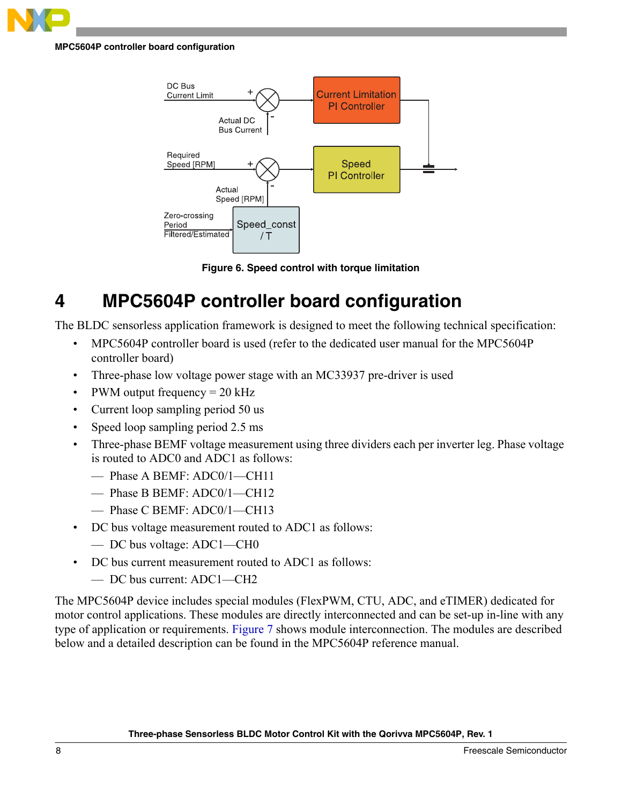

**MPC5604P controller board configuration**



**Figure 6. Speed control with torque limitation**

## <span id="page-7-0"></span>**4 MPC5604P controller board configuration**

The BLDC sensorless application framework is designed to meet the following technical specification:

- MPC5604P controller board is used (refer to the dedicated user manual for the MPC5604P controller board)
- Three-phase low voltage power stage with an MC33937 pre-driver is used
- PWM output frequency  $= 20 \text{ kHz}$
- Current loop sampling period 50 us
- Speed loop sampling period 2.5 ms
- Three-phase BEMF voltage measurement using three dividers each per inverter leg. Phase voltage is routed to ADC0 and ADC1 as follows:
	- Phase A BEMF: ADC0/1—CH11
	- Phase B BEMF: ADC0/1—CH12
	- Phase C BEMF: ADC0/1—CH13
- DC bus voltage measurement routed to ADC1 as follows:
	- DC bus voltage: ADC1—CH0
- DC bus current measurement routed to ADC1 as follows:
	- DC bus current: ADC1—CH2

The MPC5604P device includes special modules (FlexPWM, CTU, ADC, and eTIMER) dedicated for motor control applications. These modules are directly interconnected and can be set-up in-line with any type of application or requirements. [Figure 7](#page-8-1) shows module interconnection. The modules are described below and a detailed description can be found in the MPC5604P reference manual.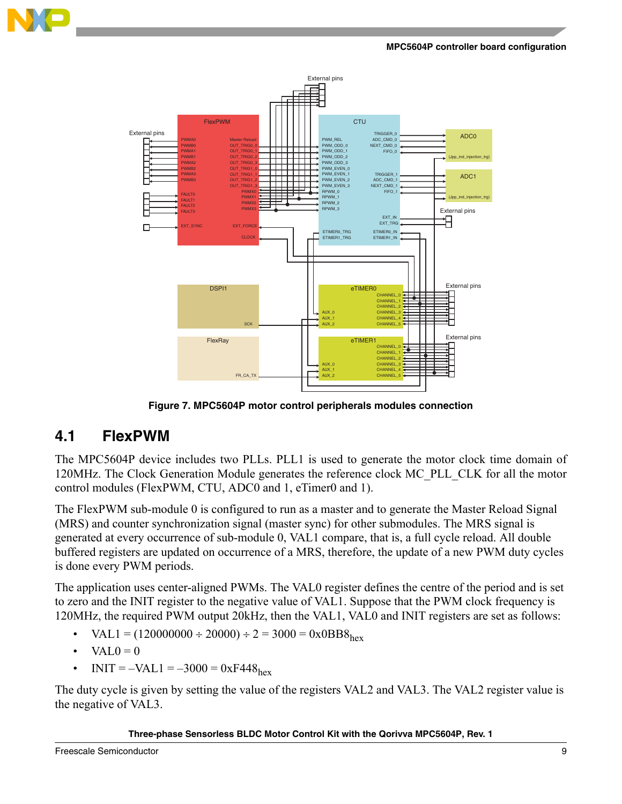

**MPC5604P controller board configuration**



**Figure 7. MPC5604P motor control peripherals modules connection**

### <span id="page-8-1"></span><span id="page-8-0"></span>**4.1 FlexPWM**

The MPC5604P device includes two PLLs. PLL1 is used to generate the motor clock time domain of 120MHz. The Clock Generation Module generates the reference clock MC\_PLL\_CLK for all the motor control modules (FlexPWM, CTU, ADC0 and 1, eTimer0 and 1).

The FlexPWM sub-module 0 is configured to run as a master and to generate the Master Reload Signal (MRS) and counter synchronization signal (master sync) for other submodules. The MRS signal is generated at every occurrence of sub-module 0, VAL1 compare, that is, a full cycle reload. All double buffered registers are updated on occurrence of a MRS, therefore, the update of a new PWM duty cycles is done every PWM periods.

The application uses center-aligned PWMs. The VAL0 register defines the centre of the period and is set to zero and the INIT register to the negative value of VAL1. Suppose that the PWM clock frequency is 120MHz, the required PWM output 20kHz, then the VAL1, VAL0 and INIT registers are set as follows:

- $VAL1 = (120000000 \div 20000) \div 2 = 3000 = 0x0BB8_{\text{hex}}$
- $VAL0 = 0$
- $INT = -VAL1 = -3000 = 0xF448<sub>hex</sub>$

The duty cycle is given by setting the value of the registers VAL2 and VAL3. The VAL2 register value is the negative of VAL3.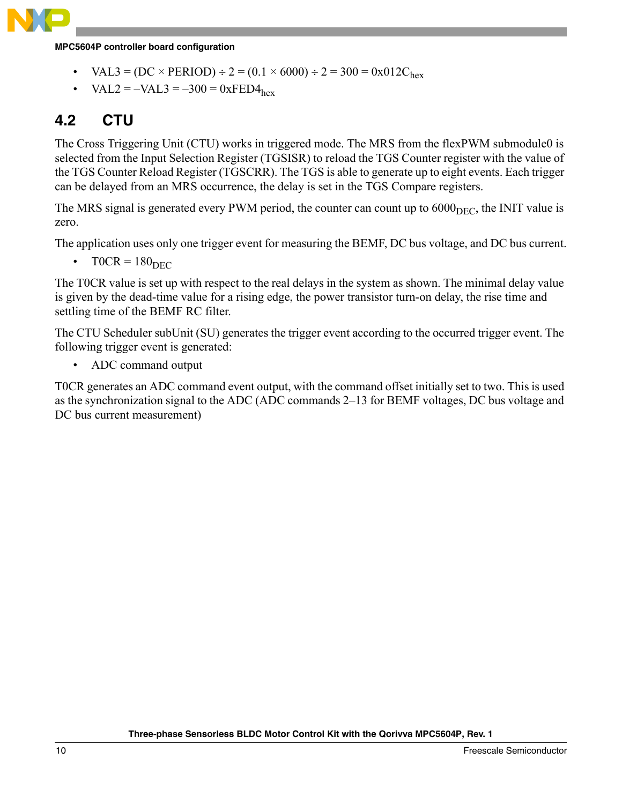

**MPC5604P controller board configuration**

- $VAL3 = (DC \times PERIOD) \div 2 = (0.1 \times 6000) \div 2 = 300 = 0x012C_{hex}$
- $VAL2 = -VAL3 = -300 = 0 \times FED4_{hex}$

### <span id="page-9-0"></span>**4.2 CTU**

The Cross Triggering Unit (CTU) works in triggered mode. The MRS from the flexPWM submodule0 is selected from the Input Selection Register (TGSISR) to reload the TGS Counter register with the value of the TGS Counter Reload Register (TGSCRR). The TGS is able to generate up to eight events. Each trigger can be delayed from an MRS occurrence, the delay is set in the TGS Compare registers.

The MRS signal is generated every PWM period, the counter can count up to  $6000<sub>DEC</sub>$ , the INIT value is zero.

The application uses only one trigger event for measuring the BEMF, DC bus voltage, and DC bus current.

 $T0CR = 180<sub>DEC</sub>$ 

The T0CR value is set up with respect to the real delays in the system as shown. The minimal delay value is given by the dead-time value for a rising edge, the power transistor turn-on delay, the rise time and settling time of the BEMF RC filter.

The CTU Scheduler subUnit (SU) generates the trigger event according to the occurred trigger event. The following trigger event is generated:

• ADC command output

T0CR generates an ADC command event output, with the command offset initially set to two. This is used as the synchronization signal to the ADC (ADC commands 2–13 for BEMF voltages, DC bus voltage and DC bus current measurement)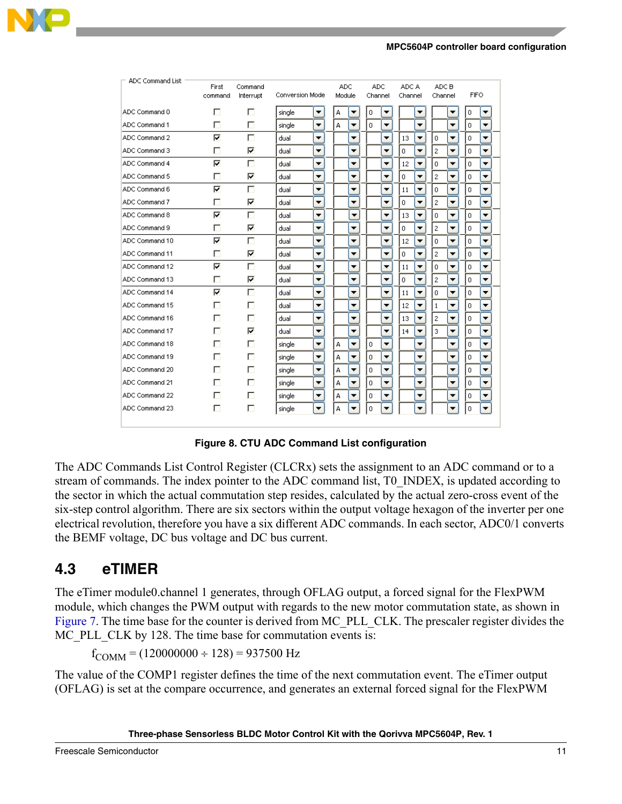#### **MPC5604P controller board configuration**

| <b>ADC Command List</b> | First<br>command | Command<br>Interrupt | Conversion Mode |                          | <b>ADC</b><br>Module |                          | <b>ADC</b><br>Channel |                          | ADC A<br>Channel |   | ADC B<br>Channel |                          | <b>FIFO</b>      |                          |
|-------------------------|------------------|----------------------|-----------------|--------------------------|----------------------|--------------------------|-----------------------|--------------------------|------------------|---|------------------|--------------------------|------------------|--------------------------|
| ADC Command 0           | г                | п                    | single          | ▼                        | А                    | ▼                        | 0                     | ▼                        |                  | ▼ |                  | ▼                        | 0                |                          |
| ADC Command 1           | п                | П                    | single          | ▼                        | A                    | ▼                        | $\overline{0}$        | ▼                        |                  | ▼ |                  | ▼                        | $\circ$          | ▼                        |
| ADC Command 2           | ⊽                | П                    | dual            | $\overline{\phantom{a}}$ |                      | ▼                        |                       | ▼                        | 13               | ▼ | 0                | ▼                        | 0                | ▼                        |
| ADC Command 3           | ГΙ               | ⊽                    | dual            | ▼                        |                      | ▼                        |                       | $\overline{\phantom{a}}$ | $\overline{0}$   | ▼ | $\overline{c}$   | ▼                        | $\overline{0}$   | ▼                        |
| ADC Command 4           | ⊽                | г                    | dual            | ▼                        |                      | ▼                        |                       | $\blacktriangledown$     | 12               | ▼ | 0                | ▼                        | $\mathbf 0$      | ▼                        |
| ADC Command 5           |                  | ⊽                    | dual            | ▼                        |                      | ▼                        |                       | ▼                        | 0                | ▼ | $\bar{z}$        | ▼                        | $\overline{0}$   | ▼                        |
| ADC Command 6           | ⊽                | П                    | dual            | ▼                        |                      | ▼                        |                       | ▼                        | 11               | ▼ | 0                | ▼                        | 0                | ▼                        |
| ADC Command 7           |                  | ⊽                    | dual            | $\overline{\phantom{a}}$ |                      | ▼                        |                       | $\overline{\phantom{a}}$ | 0                | ▼ | $\overline{c}$   | ▼                        | $\overline{0}$   | ▼                        |
| ADC Command 8           | ⊽                | г                    | dual            | $\blacktriangledown$     |                      | $\overline{\phantom{a}}$ |                       | ▼                        | 13               | ▼ | $\mathbf 0$      | ▼                        | 0                | ▼                        |
| ADC Command 9           |                  | ⊽                    | dual            | ▼                        |                      | ▼                        |                       | $\overline{\phantom{a}}$ | 0                | ▼ | $\mathfrak z$    | ▼                        | $\mathbf 0$      | ▼                        |
| ADC Command 10          | ⊽                | п                    | dual            | ▼                        |                      | ▼                        |                       | ▼                        | 12               | ▼ | 0                | ▼                        | $\mathbf 0$      | ▼                        |
| ADC Command 11          |                  | ⊽                    | dual            | $\overline{\phantom{a}}$ |                      | ▼                        |                       | $\overline{\phantom{a}}$ | 0                | ▼ | $\overline{c}$   | $\overline{\phantom{a}}$ | $\circ$          | $\overline{\phantom{0}}$ |
| ADC Command 12          | ⊽                | г                    | dual            | ▼                        |                      | ▼                        |                       | ▼                        | 11               | ▼ | $\boldsymbol{0}$ | ▼                        | $\boldsymbol{0}$ | ▼                        |
| ADC Command 13          |                  | ⊽                    | dual            | ▼                        |                      | ▼                        |                       | $\blacktriangledown$     | 0                | ▼ | $\overline{c}$   | ▼                        | $\overline{0}$   | ▼                        |
| ADC Command 14          | ⊽                | $\Box$               | dual            | ▼                        |                      | ▼                        |                       | ▼                        | 11               | ▼ | 0                | ▼                        | 0                | ▼                        |
| ADC Command 15          |                  | г                    | dual            | ▼                        |                      | ▼                        |                       | ▼                        | 12               | ▼ | $1\,$            | ▼                        | $\mathbf 0$      | ▼                        |
| ADC Command 16          |                  | п                    | dual            | ▼                        |                      | ▼                        |                       | $\blacktriangledown$     | 13               | ▼ | $\overline{c}$   | ▼                        | $\mathbf 0$      | ▼                        |
| ADC Command 17          | ш                | ⊽                    | dual            | ▼                        |                      | ▼                        |                       | ▼                        | 14               | ▼ | 3                | ▼                        | $\circ$          | ▼                        |
| ADC Command 18          |                  | п                    | single          | ▼                        | А                    | $\overline{\phantom{a}}$ | 0                     | ▼                        |                  | ▼ |                  | ▼                        | $\circ$          | ▼                        |
| ADC Command 19          | п                | п                    | single          | ▼                        | А                    | ▼                        | $\overline{0}$        | $\blacktriangledown$     |                  | ▼ |                  | ▼                        | $\overline{0}$   | ▼                        |
| ADC Command 20          |                  | г                    | single          | $\overline{\phantom{a}}$ | А                    | $\overline{\phantom{a}}$ | 0                     | $\blacktriangledown$     |                  | ▼ |                  | ▼                        | $\mathbf 0$      | ▼                        |
| ADC Command 21          |                  | п                    | single          | ▼                        | А                    | ▼                        | $\mathbf 0$           | $\blacktriangledown$     |                  | ▼ |                  | ▼                        | 0                | ▼                        |
| ADC Command 22          |                  | п                    | single          | $\blacktriangledown$     | А                    | ▼                        | $\overline{0}$        | ▼                        |                  | ▼ |                  | ▼                        | $\mathbf 0$      | ▼                        |
| ADC Command 23          | п                | г                    | single          | ▼                        | А                    |                          | 0                     |                          |                  |   |                  |                          | $\mathbf 0$      |                          |
|                         |                  |                      |                 |                          |                      |                          |                       |                          |                  |   |                  |                          |                  |                          |

**Figure 8. CTU ADC Command List configuration**

The ADC Commands List Control Register (CLCRx) sets the assignment to an ADC command or to a stream of commands. The index pointer to the ADC command list, T0\_INDEX, is updated according to the sector in which the actual commutation step resides, calculated by the actual zero-cross event of the six-step control algorithm. There are six sectors within the output voltage hexagon of the inverter per one electrical revolution, therefore you have a six different ADC commands. In each sector, ADC0/1 converts the BEMF voltage, DC bus voltage and DC bus current.

### <span id="page-10-0"></span>**4.3 eTIMER**

The eTimer module0.channel 1 generates, through OFLAG output, a forced signal for the FlexPWM module, which changes the PWM output with regards to the new motor commutation state, as shown in [Figure 7](#page-8-1). The time base for the counter is derived from MC\_PLL\_CLK. The prescaler register divides the MC\_PLL\_CLK by 128. The time base for commutation events is:

 $f_{\text{COMM}} = (120000000 \div 128) = 937500 \text{ Hz}$ 

The value of the COMP1 register defines the time of the next commutation event. The eTimer output (OFLAG) is set at the compare occurrence, and generates an external forced signal for the FlexPWM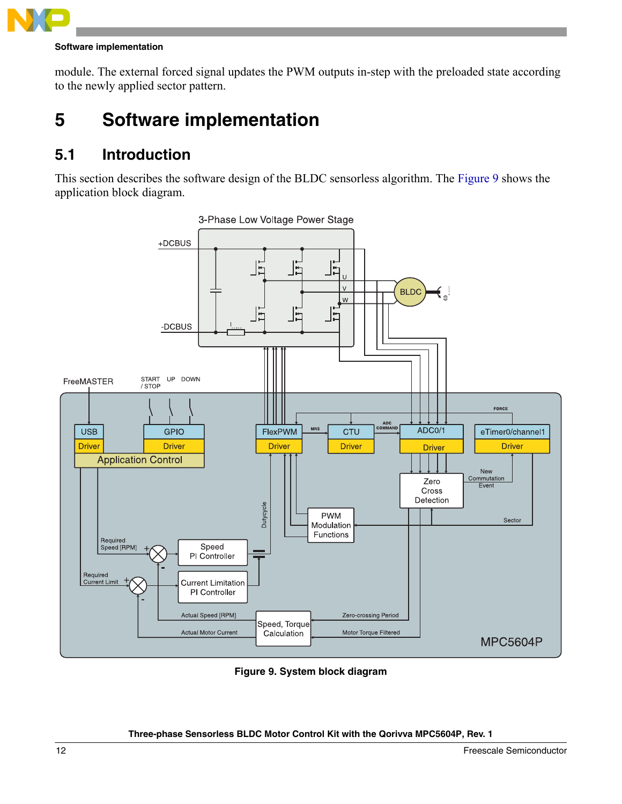

#### **Software implementation**

module. The external forced signal updates the PWM outputs in-step with the preloaded state according to the newly applied sector pattern.

## <span id="page-11-0"></span>**5 Software implementation**

### <span id="page-11-1"></span>**5.1 Introduction**

This section describes the software design of the BLDC sensorless algorithm. The [Figure 9](#page-11-2) shows the application block diagram.



<span id="page-11-2"></span>**Figure 9. System block diagram**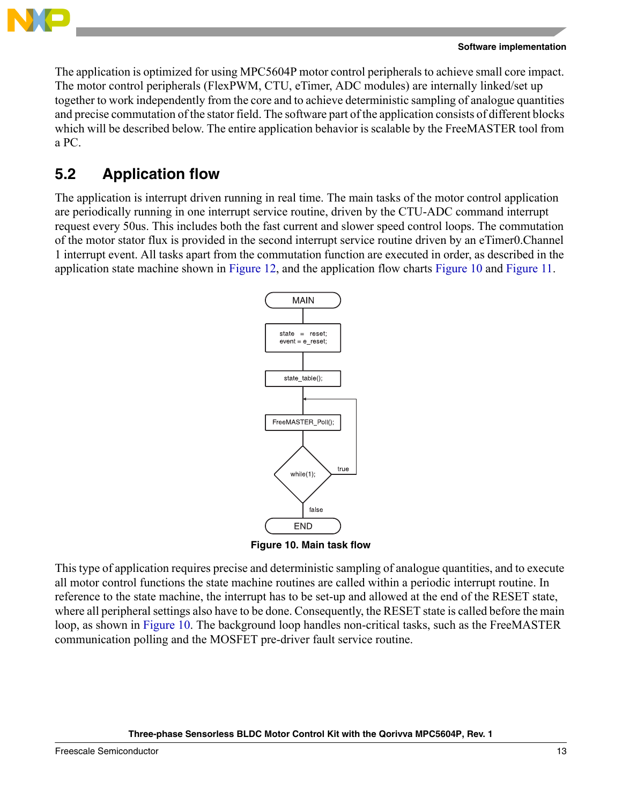

The application is optimized for using MPC5604P motor control peripherals to achieve small core impact. The motor control peripherals (FlexPWM, CTU, eTimer, ADC modules) are internally linked/set up together to work independently from the core and to achieve deterministic sampling of analogue quantities and precise commutation of the stator field. The software part of the application consists of different blocks which will be described below. The entire application behavior is scalable by the FreeMASTER tool from a PC.

### <span id="page-12-0"></span>**5.2 Application flow**

The application is interrupt driven running in real time. The main tasks of the motor control application are periodically running in one interrupt service routine, driven by the CTU-ADC command interrupt request every 50us. This includes both the fast current and slower speed control loops. The commutation of the motor stator flux is provided in the second interrupt service routine driven by an eTimer0.Channel 1 interrupt event. All tasks apart from the commutation function are executed in order, as described in the application state machine shown in [Figure 12,](#page-16-0) and the application flow charts [Figure 10](#page-12-1) and [Figure 11](#page-13-1).



**Figure 10. Main task flow**

<span id="page-12-1"></span>This type of application requires precise and deterministic sampling of analogue quantities, and to execute all motor control functions the state machine routines are called within a periodic interrupt routine. In reference to the state machine, the interrupt has to be set-up and allowed at the end of the RESET state, where all peripheral settings also have to be done. Consequently, the RESET state is called before the main loop, as shown in [Figure 10](#page-12-1). The background loop handles non-critical tasks, such as the FreeMASTER communication polling and the MOSFET pre-driver fault service routine.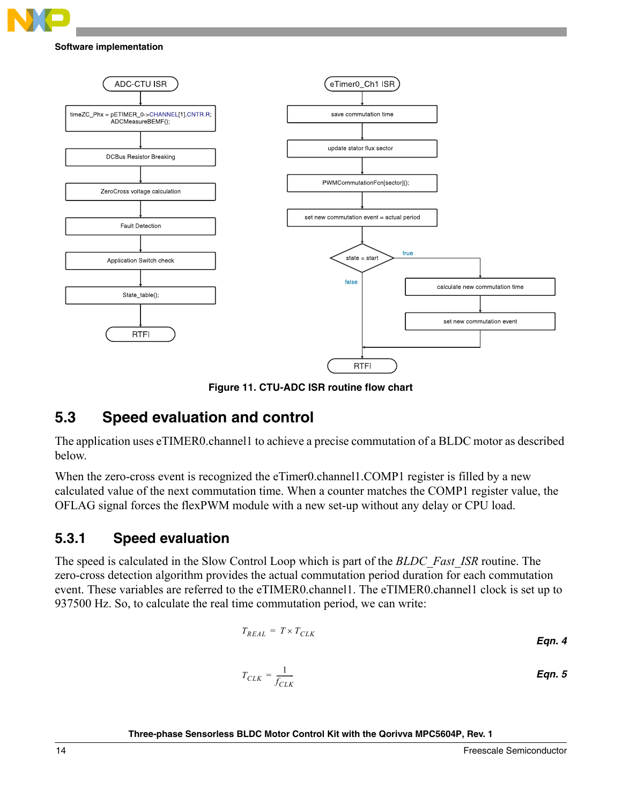

#### **Software implementation**



**Figure 11. CTU-ADC ISR routine flow chart**

### <span id="page-13-1"></span><span id="page-13-0"></span>**5.3 Speed evaluation and control**

The application uses eTIMER0.channel1 to achieve a precise commutation of a BLDC motor as described below.

When the zero-cross event is recognized the eTimer0.channel1.COMP1 register is filled by a new calculated value of the next commutation time. When a counter matches the COMP1 register value, the OFLAG signal forces the flexPWM module with a new set-up without any delay or CPU load.

### **5.3.1 Speed evaluation**

The speed is calculated in the Slow Control Loop which is part of the *BLDC\_Fast\_ISR* routine. The zero-cross detection algorithm provides the actual commutation period duration for each commutation event. These variables are referred to the eTIMER0.channel1. The eTIMER0.channel1 clock is set up to 937500 Hz. So, to calculate the real time commutation period, we can write:

$$
T_{REL} = T \times T_{CLK}
$$
  
Eqn. 4  

$$
T_{CLK} = \frac{1}{f_{CLK}}
$$
  
Eqn. 5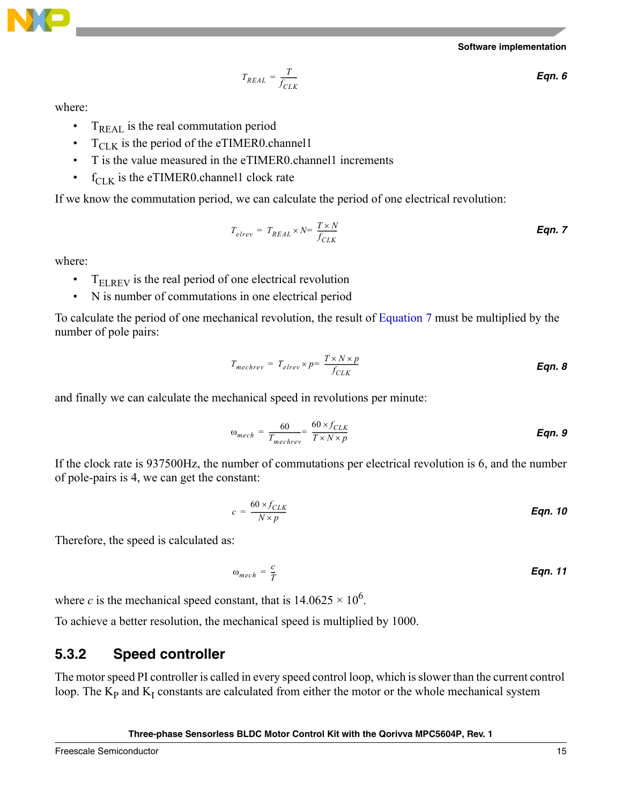

$$
\mathbf{NP}
$$

$$
T_{REL} = \frac{T}{f_{CLK}}
$$
 Eqn. 6

where:

- $T_{\text{REAL}}$  is the real commutation period
- $T_{\text{CLK}}$  is the period of the eTIMER0.channel1
- T is the value measured in the eTIMER0.channel1 increments
- $f_{\text{CLK}}$  is the eTIMER0.channel1 clock rate

<span id="page-14-0"></span>If we know the commutation period, we can calculate the period of one electrical revolution:

$$
T_{elrev} = T_{REAL} \times N = \frac{T \times N}{f_{CLK}}
$$
Eqn. 7

where:

- $T_{\text{ELREV}}$  is the real period of one electrical revolution
- N is number of commutations in one electrical period

To calculate the period of one mechanical revolution, the result of [Equation 7](#page-14-0) must be multiplied by the number of pole pairs:

$$
T_{mechrev} = T_{elrev} \times p = \frac{T \times N \times p}{f_{CLK}}
$$
Eqn. 8

and finally we can calculate the mechanical speed in revolutions per minute:

$$
\omega_{mech} = \frac{60}{T_{mechrev}} = \frac{60 \times f_{CLK}}{T \times N \times p}
$$
Eqn. 9

If the clock rate is 937500Hz, the number of commutations per electrical revolution is 6, and the number of pole-pairs is 4, we can get the constant:

$$
c = \frac{60 \times f_{CLK}}{N \times p}
$$
 Eqn. 10

Therefore, the speed is calculated as:

$$
\omega_{mech} = \frac{c}{T}
$$
 \t\t\t**Eqn. 11**

where *c* is the mechanical speed constant, that is  $14.0625 \times 10^6$ .

To achieve a better resolution, the mechanical speed is multiplied by 1000.

### **5.3.2 Speed controller**

The motor speed PI controller is called in every speed control loop, which is slower than the current control loop. The  $K_p$  and  $K_I$  constants are calculated from either the motor or the whole mechanical system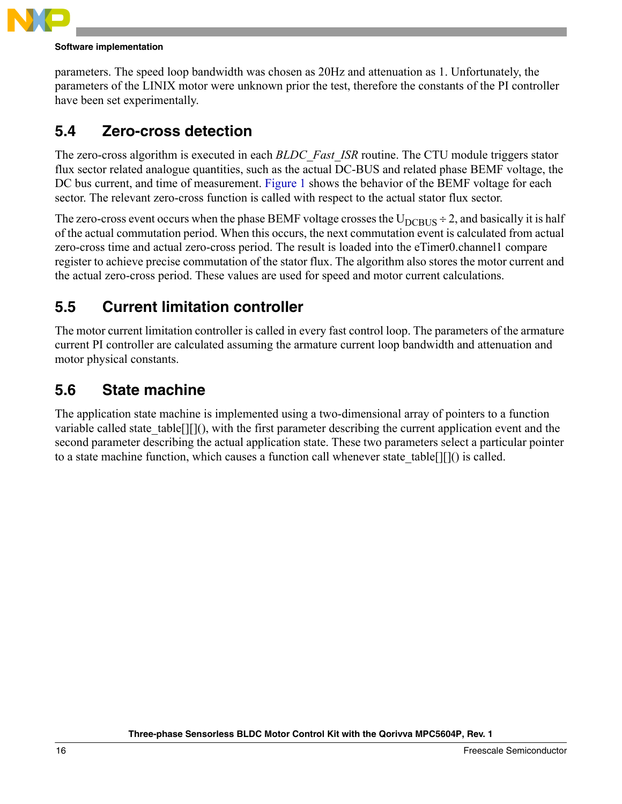

#### **Software implementation**

parameters. The speed loop bandwidth was chosen as 20Hz and attenuation as 1. Unfortunately, the parameters of the LINIX motor were unknown prior the test, therefore the constants of the PI controller have been set experimentally.

### <span id="page-15-0"></span>**5.4 Zero-cross detection**

The zero-cross algorithm is executed in each *BLDC\_Fast\_ISR* routine. The CTU module triggers stator flux sector related analogue quantities, such as the actual DC-BUS and related phase BEMF voltage, the DC bus current, and time of measurement. [Figure 1](#page-2-1) shows the behavior of the BEMF voltage for each sector. The relevant zero-cross function is called with respect to the actual stator flux sector.

The zero-cross event occurs when the phase BEMF voltage crosses the  $U_{DCBUS} \div 2$ , and basically it is half of the actual commutation period. When this occurs, the next commutation event is calculated from actual zero-cross time and actual zero-cross period. The result is loaded into the eTimer0.channel1 compare register to achieve precise commutation of the stator flux. The algorithm also stores the motor current and the actual zero-cross period. These values are used for speed and motor current calculations.

### <span id="page-15-1"></span>**5.5 Current limitation controller**

The motor current limitation controller is called in every fast control loop. The parameters of the armature current PI controller are calculated assuming the armature current loop bandwidth and attenuation and motor physical constants.

### <span id="page-15-2"></span>**5.6 State machine**

The application state machine is implemented using a two-dimensional array of pointers to a function variable called state table<sup>[][]</sup>(), with the first parameter describing the current application event and the second parameter describing the actual application state. These two parameters select a particular pointer to a state machine function, which causes a function call whenever state  $table[]]$ () is called.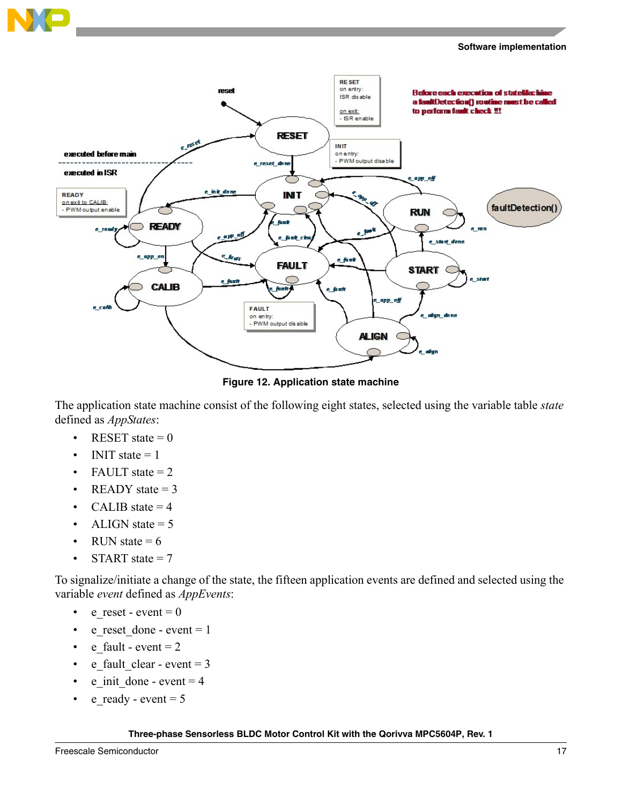



**Figure 12. Application state machine**

<span id="page-16-0"></span>The application state machine consist of the following eight states, selected using the variable table *state* defined as *AppStates*:

- RESET state  $= 0$
- INIT state  $= 1$
- FAULT state  $= 2$
- READY state  $= 3$
- CALIB state  $= 4$
- ALIGN state  $= 5$
- RUN state  $= 6$
- START state  $= 7$

To signalize/initiate a change of the state, the fifteen application events are defined and selected using the variable *event* defined as *AppEvents*:

- e\_reset event =  $0$
- e\_reset\_done event = 1
- e fault event  $= 2$
- e fault clear event  $= 3$
- e init done event  $= 4$
- e\_ready event =  $5$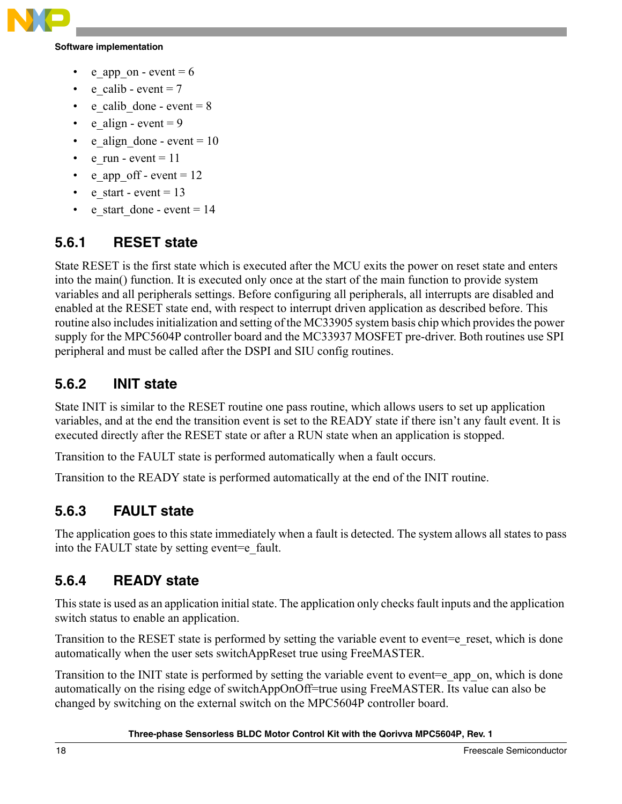

#### **Software implementation**

- e app on event  $= 6$
- e calib event  $= 7$
- e calib done event  $= 8$
- e align event =  $9$
- e align done event  $= 10$
- e run event  $= 11$
- e\_app\_off event =  $12$
- e start event  $= 13$
- e\_start\_done event =  $14$

### **5.6.1 RESET state**

State RESET is the first state which is executed after the MCU exits the power on reset state and enters into the main() function. It is executed only once at the start of the main function to provide system variables and all peripherals settings. Before configuring all peripherals, all interrupts are disabled and enabled at the RESET state end, with respect to interrupt driven application as described before. This routine also includes initialization and setting of the MC33905 system basis chip which provides the power supply for the MPC5604P controller board and the MC33937 MOSFET pre-driver. Both routines use SPI peripheral and must be called after the DSPI and SIU config routines.

### **5.6.2 INIT state**

State INIT is similar to the RESET routine one pass routine, which allows users to set up application variables, and at the end the transition event is set to the READY state if there isn't any fault event. It is executed directly after the RESET state or after a RUN state when an application is stopped.

Transition to the FAULT state is performed automatically when a fault occurs.

Transition to the READY state is performed automatically at the end of the INIT routine.

### **5.6.3 FAULT state**

The application goes to this state immediately when a fault is detected. The system allows all states to pass into the FAULT state by setting event=e\_fault.

### **5.6.4 READY state**

This state is used as an application initial state. The application only checks fault inputs and the application switch status to enable an application.

Transition to the RESET state is performed by setting the variable event to event=e\_reset, which is done automatically when the user sets switchAppReset true using FreeMASTER.

Transition to the INIT state is performed by setting the variable event to event=e app\_on, which is done automatically on the rising edge of switchAppOnOff=true using FreeMASTER. Its value can also be changed by switching on the external switch on the MPC5604P controller board.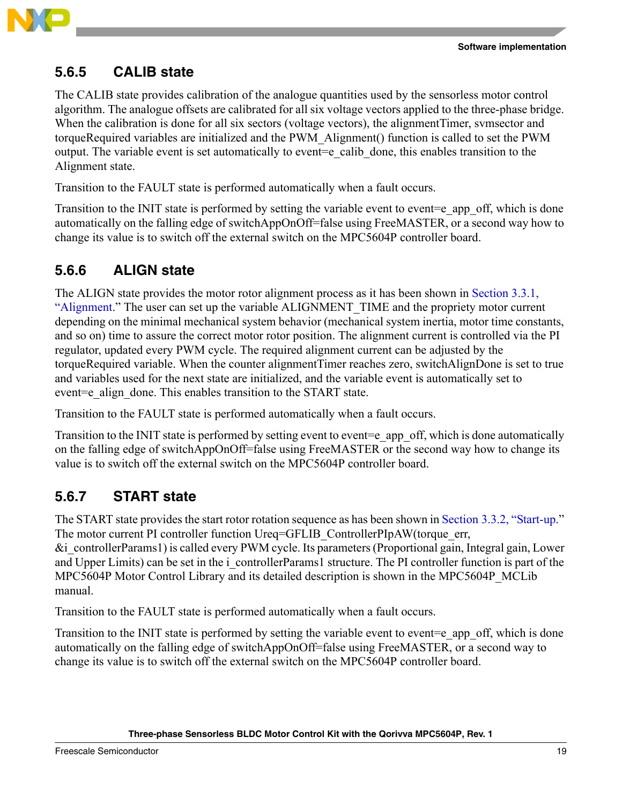

### **5.6.5 CALIB state**

The CALIB state provides calibration of the analogue quantities used by the sensorless motor control algorithm. The analogue offsets are calibrated for all six voltage vectors applied to the three-phase bridge. When the calibration is done for all six sectors (voltage vectors), the alignmentTimer, symsector and torqueRequired variables are initialized and the PWM\_Alignment() function is called to set the PWM output. The variable event is set automatically to event=e\_calib\_done, this enables transition to the Alignment state.

Transition to the FAULT state is performed automatically when a fault occurs.

Transition to the INIT state is performed by setting the variable event to event=e\_app\_off, which is done automatically on the falling edge of switchAppOnOff=false using FreeMASTER, or a second way how to change its value is to switch off the external switch on the MPC5604P controller board.

### **5.6.6 ALIGN state**

The ALIGN state provides the motor rotor alignment process as it has been shown in [Section 3.3.1,](#page-6-1)  ["Alignment.](#page-6-1)" The user can set up the variable ALIGNMENT\_TIME and the propriety motor current depending on the minimal mechanical system behavior (mechanical system inertia, motor time constants, and so on) time to assure the correct motor rotor position. The alignment current is controlled via the PI regulator, updated every PWM cycle. The required alignment current can be adjusted by the torqueRequired variable. When the counter alignmentTimer reaches zero, switchAlignDone is set to true and variables used for the next state are initialized, and the variable event is automatically set to event=e\_align\_done. This enables transition to the START state.

Transition to the FAULT state is performed automatically when a fault occurs.

Transition to the INIT state is performed by setting event to event=e\_app\_off, which is done automatically on the falling edge of switchAppOnOff=false using FreeMASTER or the second way how to change its value is to switch off the external switch on the MPC5604P controller board.

### **5.6.7 START state**

The START state provides the start rotor rotation sequence as has been shown in [Section 3.3.2, "Start-up](#page-6-2)." The motor current PI controller function Ureq=GFLIB\_ControllerPIpAW(torque\_err,

&i\_controllerParams1) is called every PWM cycle. Its parameters (Proportional gain, Integral gain, Lower and Upper Limits) can be set in the *i* controllerParams1 structure. The PI controller function is part of the MPC5604P Motor Control Library and its detailed description is shown in the MPC5604P\_MCLib manual.

Transition to the FAULT state is performed automatically when a fault occurs.

Transition to the INIT state is performed by setting the variable event to event=e\_app\_off, which is done automatically on the falling edge of switchAppOnOff=false using FreeMASTER, or a second way to change its value is to switch off the external switch on the MPC5604P controller board.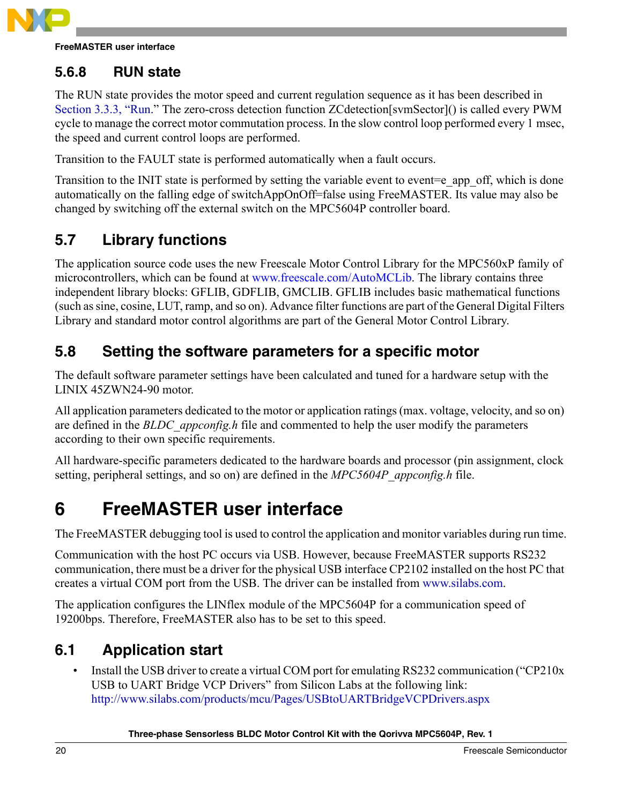

**FreeMASTER user interface**

### **5.6.8 RUN state**

The RUN state provides the motor speed and current regulation sequence as it has been described in [Section 3.3.3, "Run](#page-6-3)." The zero-cross detection function ZCdetection[svmSector]() is called every PWM cycle to manage the correct motor commutation process. In the slow control loop performed every 1 msec, the speed and current control loops are performed.

Transition to the FAULT state is performed automatically when a fault occurs.

Transition to the INIT state is performed by setting the variable event to event=e\_app\_off, which is done automatically on the falling edge of switchAppOnOff=false using FreeMASTER. Its value may also be changed by switching off the external switch on the MPC5604P controller board.

### <span id="page-19-0"></span>**5.7 Library functions**

The application source code uses the new Freescale Motor Control Library for the MPC560xP family of microcontrollers, which can be found at www.freescale.com/AutoMCLib. The library contains three independent library blocks: GFLIB, GDFLIB, GMCLIB. GFLIB includes basic mathematical functions (such as sine, cosine, LUT, ramp, and so on). Advance filter functions are part of the General Digital Filters Library and standard motor control algorithms are part of the General Motor Control Library.

### <span id="page-19-1"></span>**5.8 Setting the software parameters for a specific motor**

The default software parameter settings have been calculated and tuned for a hardware setup with the LINIX 45ZWN24-90 motor.

All application parameters dedicated to the motor or application ratings (max. voltage, velocity, and so on) are defined in the *BLDC\_appconfig.h* file and commented to help the user modify the parameters according to their own specific requirements.

All hardware-specific parameters dedicated to the hardware boards and processor (pin assignment, clock setting, peripheral settings, and so on) are defined in the *MPC5604P\_appconfig.h* file.

## <span id="page-19-2"></span>**6 FreeMASTER user interface**

The FreeMASTER debugging tool is used to control the application and monitor variables during run time.

Communication with the host PC occurs via USB. However, because FreeMASTER supports RS232 communication, there must be a driver for the physical USB interface CP2102 installed on the host PC that creates a virtual COM port from the USB. The driver can be installed from www.silabs.com.

The application configures the LINflex module of the MPC5604P for a communication speed of 19200bps. Therefore, FreeMASTER also has to be set to this speed.

### <span id="page-19-3"></span>**6.1 Application start**

• Install the USB driver to create a virtual COM port for emulating RS232 communication ("CP210x USB to UART Bridge VCP Drivers" from Silicon Labs at the following link: http://www.silabs.com/products/mcu/Pages/USBtoUARTBridgeVCPDrivers.aspx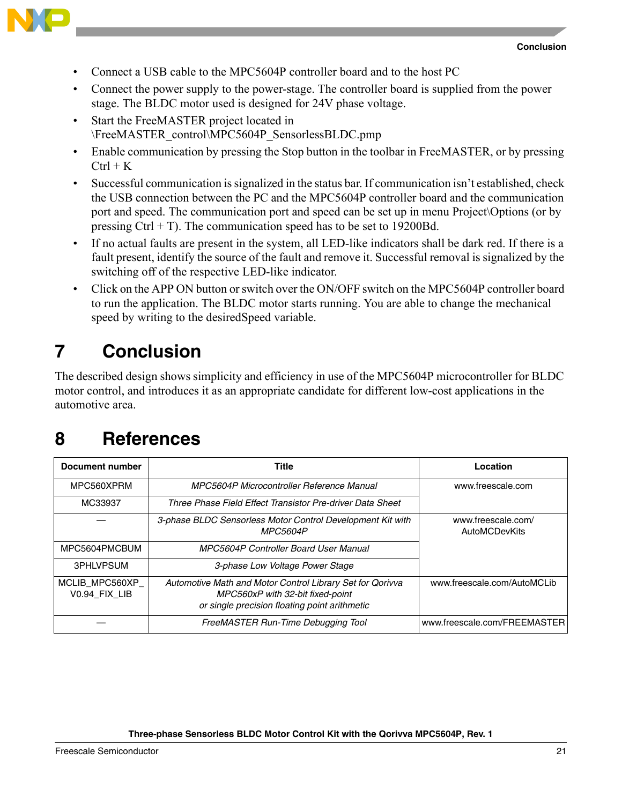

- - Connect a USB cable to the MPC5604P controller board and to the host PC
	- Connect the power supply to the power-stage. The controller board is supplied from the power stage. The BLDC motor used is designed for 24V phase voltage.
	- Start the FreeMASTER project located in \FreeMASTER\_control\MPC5604P\_SensorlessBLDC.pmp
	- Enable communication by pressing the Stop button in the toolbar in FreeMASTER, or by pressing  $Ctrl + K$
	- Successful communication is signalized in the status bar. If communication isn't established, check the USB connection between the PC and the MPC5604P controller board and the communication port and speed. The communication port and speed can be set up in menu Project\Options (or by pressing  $Ctrl + T$ ). The communication speed has to be set to 19200Bd.
	- If no actual faults are present in the system, all LED-like indicators shall be dark red. If there is a fault present, identify the source of the fault and remove it. Successful removal is signalized by the switching off of the respective LED-like indicator.
	- Click on the APP ON button or switch over the ON/OFF switch on the MPC5604P controller board to run the application. The BLDC motor starts running. You are able to change the mechanical speed by writing to the desiredSpeed variable.

## <span id="page-20-0"></span>**7 Conclusion**

The described design shows simplicity and efficiency in use of the MPC5604P microcontroller for BLDC motor control, and introduces it as an appropriate candidate for different low-cost applications in the automotive area.

## <span id="page-20-1"></span>**8 References**

| Document number                 | Title                                                                                                                                          | Location                                   |  |  |
|---------------------------------|------------------------------------------------------------------------------------------------------------------------------------------------|--------------------------------------------|--|--|
| MPC560XPRM                      | MPC5604P Microcontroller Reference Manual                                                                                                      |                                            |  |  |
| MC33937                         | Three Phase Field Effect Transistor Pre-driver Data Sheet                                                                                      |                                            |  |  |
|                                 | 3-phase BLDC Sensorless Motor Control Development Kit with<br><b>MPC5604P</b>                                                                  | www.freescale.com/<br><b>AutoMCDevKits</b> |  |  |
| MPC5604PMCBUM                   | MPC5604P Controller Board User Manual                                                                                                          |                                            |  |  |
| 3PHLVPSUM                       | 3-phase Low Voltage Power Stage                                                                                                                |                                            |  |  |
| MCLIB MPC560XP<br>V0.94 FIX LIB | Automotive Math and Motor Control Library Set for Qorivva<br>MPC560xP with 32-bit fixed-point<br>or single precision floating point arithmetic | www.freescale.com/AutoMCLib                |  |  |
|                                 | FreeMASTER Run-Time Debugging Tool                                                                                                             | www.freescale.com/FREEMASTER               |  |  |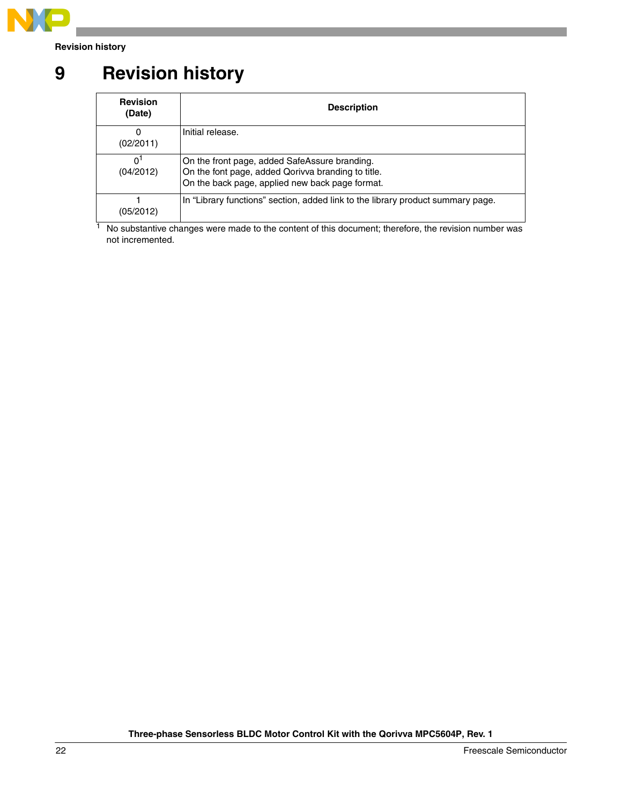

**Revision history**

## <span id="page-21-0"></span>**9 Revision history**

| <b>Revision</b><br>(Date)   | <b>Description</b>                                                                                                                                     |
|-----------------------------|--------------------------------------------------------------------------------------------------------------------------------------------------------|
| 0<br>(02/2011)              | Initial release.                                                                                                                                       |
| 0 <sup>1</sup><br>(04/2012) | On the front page, added SafeAssure branding.<br>On the font page, added Qorivva branding to title.<br>On the back page, applied new back page format. |
| (05/2012)                   | In "Library functions" section, added link to the library product summary page.                                                                        |

<sup>1</sup> No substantive changes were made to the content of this document; therefore, the revision number was not incremented.